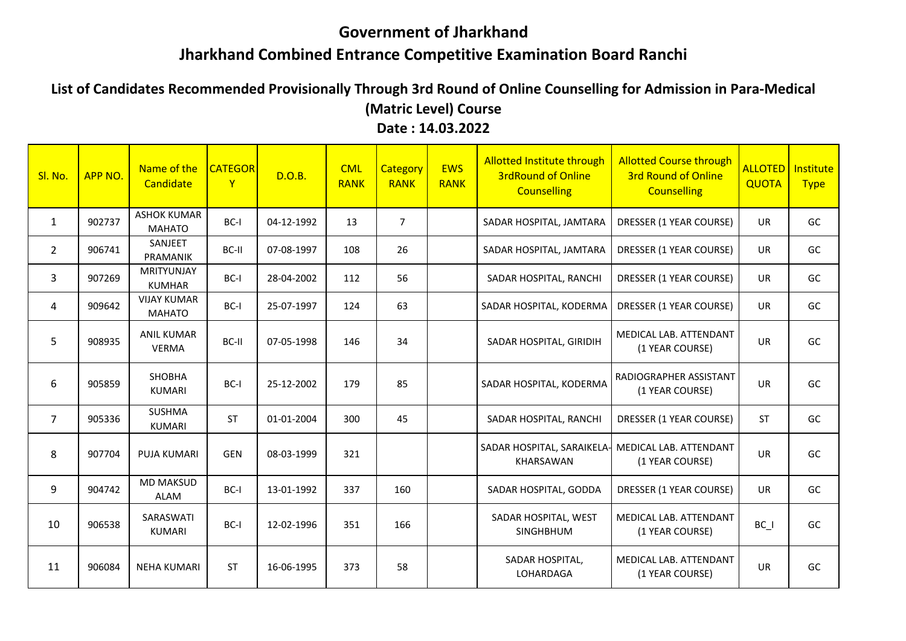## **Government of Jharkhand Jharkhand Combined Entrance Competitive Examination Board Ranchi**

**List of Candidates Recommended Provisionally Through 3rd Round of Online Counselling for Admission in Para-Medical (Matric Level) Course Date : 14.03.2022**

| Sl. No.        | APP NO. | Name of the<br>Candidate            | <b>CATEGOR</b><br>$\mathsf{Y}$ | D.O.B.     | <b>CML</b><br><b>RANK</b> | Category<br><b>RANK</b> | <b>EWS</b><br><b>RANK</b> | <b>Allotted Institute through</b><br><b>3rdRound of Online</b><br><b>Counselling</b> | <b>Allotted Course through</b><br><b>3rd Round of Online</b><br><b>Counselling</b> | <b>ALLOTED</b><br><b>QUOTA</b> | Institute<br><b>Type</b> |
|----------------|---------|-------------------------------------|--------------------------------|------------|---------------------------|-------------------------|---------------------------|--------------------------------------------------------------------------------------|------------------------------------------------------------------------------------|--------------------------------|--------------------------|
| $\mathbf{1}$   | 902737  | <b>ASHOK KUMAR</b><br><b>MAHATO</b> | BC-I                           | 04-12-1992 | 13                        | $\overline{7}$          |                           | SADAR HOSPITAL, JAMTARA                                                              | <b>DRESSER (1 YEAR COURSE)</b>                                                     | <b>UR</b>                      | GC                       |
| $\overline{2}$ | 906741  | SANJEET<br>PRAMANIK                 | BC-II                          | 07-08-1997 | 108                       | 26                      |                           | SADAR HOSPITAL, JAMTARA                                                              | DRESSER (1 YEAR COURSE)                                                            | UR                             | GC                       |
| 3              | 907269  | MRITYUNJAY<br><b>KUMHAR</b>         | BC-I                           | 28-04-2002 | 112                       | 56                      |                           | SADAR HOSPITAL, RANCHI                                                               | DRESSER (1 YEAR COURSE)                                                            | <b>UR</b>                      | GC                       |
| 4              | 909642  | <b>VIJAY KUMAR</b><br><b>MAHATO</b> | BC-I                           | 25-07-1997 | 124                       | 63                      |                           | SADAR HOSPITAL, KODERMA                                                              | DRESSER (1 YEAR COURSE)                                                            | UR                             | GC                       |
| 5              | 908935  | <b>ANIL KUMAR</b><br><b>VERMA</b>   | BC-II                          | 07-05-1998 | 146                       | 34                      |                           | SADAR HOSPITAL, GIRIDIH                                                              | MEDICAL LAB. ATTENDANT<br>(1 YEAR COURSE)                                          | <b>UR</b>                      | GC                       |
| 6              | 905859  | SHOBHA<br><b>KUMARI</b>             | BC-I                           | 25-12-2002 | 179                       | 85                      |                           | SADAR HOSPITAL, KODERMA                                                              | RADIOGRAPHER ASSISTANT<br>(1 YEAR COURSE)                                          | <b>UR</b>                      | GC                       |
| $\overline{7}$ | 905336  | <b>SUSHMA</b><br><b>KUMARI</b>      | <b>ST</b>                      | 01-01-2004 | 300                       | 45                      |                           | SADAR HOSPITAL, RANCHI                                                               | DRESSER (1 YEAR COURSE)                                                            | <b>ST</b>                      | GC                       |
| 8              | 907704  | <b>PUJA KUMARI</b>                  | <b>GEN</b>                     | 08-03-1999 | 321                       |                         |                           | SADAR HOSPITAL, SARAIKELA-<br>KHARSAWAN                                              | MEDICAL LAB. ATTENDANT<br>(1 YEAR COURSE)                                          | <b>UR</b>                      | GC                       |
| 9              | 904742  | <b>MD MAKSUD</b><br>ALAM            | BC-I                           | 13-01-1992 | 337                       | 160                     |                           | SADAR HOSPITAL, GODDA                                                                | DRESSER (1 YEAR COURSE)                                                            | <b>UR</b>                      | GC                       |
| 10             | 906538  | SARASWATI<br><b>KUMARI</b>          | BC-I                           | 12-02-1996 | 351                       | 166                     |                           | SADAR HOSPITAL, WEST<br><b>SINGHBHUM</b>                                             | MEDICAL LAB. ATTENDANT<br>(1 YEAR COURSE)                                          | BC I                           | GC                       |
| 11             | 906084  | <b>NEHA KUMARI</b>                  | <b>ST</b>                      | 16-06-1995 | 373                       | 58                      |                           | SADAR HOSPITAL,<br>LOHARDAGA                                                         | <b>MEDICAL LAB. ATTENDANT</b><br>(1 YEAR COURSE)                                   | <b>UR</b>                      | GC                       |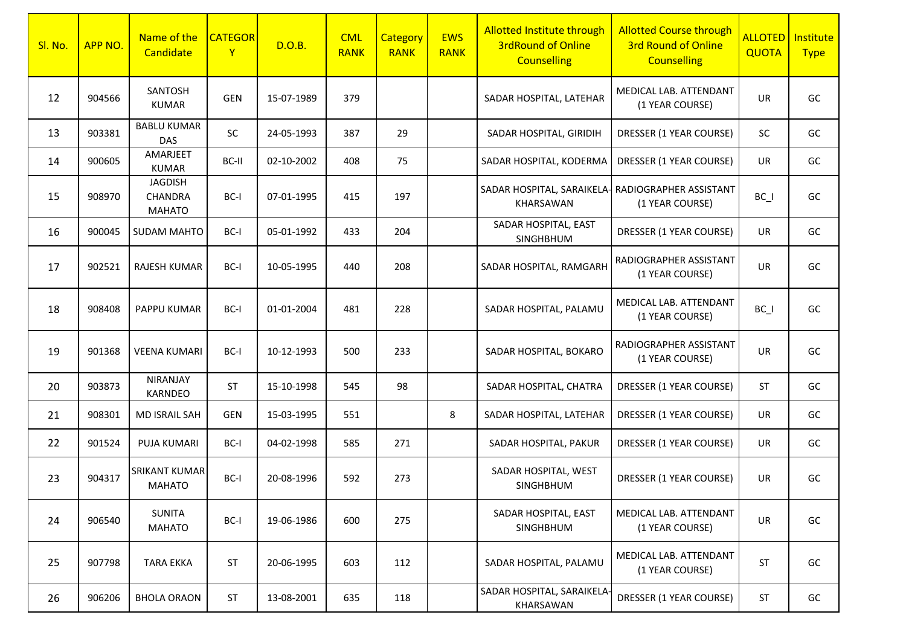| SI. No. | APP NO. | Name of the<br>Candidate                   | <b>CATEGOR</b><br>$\mathsf{Y}$ | D.O.B.     | <b>CML</b><br><b>RANK</b> | <b>Category</b><br><b>RANK</b> | <b>EWS</b><br><b>RANK</b> | <b>Allotted Institute through</b><br><b>3rdRound of Online</b><br><b>Counselling</b> | <b>Allotted Course through</b><br><b>3rd Round of Online</b><br><b>Counselling</b> | <b>ALLOTED</b><br>QUOTA | Institute<br><b>Type</b> |
|---------|---------|--------------------------------------------|--------------------------------|------------|---------------------------|--------------------------------|---------------------------|--------------------------------------------------------------------------------------|------------------------------------------------------------------------------------|-------------------------|--------------------------|
| 12      | 904566  | SANTOSH<br><b>KUMAR</b>                    | <b>GEN</b>                     | 15-07-1989 | 379                       |                                |                           | SADAR HOSPITAL, LATEHAR                                                              | MEDICAL LAB. ATTENDANT<br>(1 YEAR COURSE)                                          | <b>UR</b>               | GC                       |
| 13      | 903381  | <b>BABLU KUMAR</b><br><b>DAS</b>           | <b>SC</b>                      | 24-05-1993 | 387                       | 29                             |                           | SADAR HOSPITAL, GIRIDIH                                                              | DRESSER (1 YEAR COURSE)                                                            | <b>SC</b>               | GC                       |
| 14      | 900605  | AMARJEET<br><b>KUMAR</b>                   | BC-II                          | 02-10-2002 | 408                       | 75                             |                           | SADAR HOSPITAL, KODERMA                                                              | DRESSER (1 YEAR COURSE)                                                            | <b>UR</b>               | GC                       |
| 15      | 908970  | <b>JAGDISH</b><br>CHANDRA<br><b>MAHATO</b> | BC-I                           | 07-01-1995 | 415                       | 197                            |                           | SADAR HOSPITAL, SARAIKELA- RADIOGRAPHER ASSISTANT<br>KHARSAWAN                       | (1 YEAR COURSE)                                                                    | $BC_$                   | GC                       |
| 16      | 900045  | <b>SUDAM MAHTO</b>                         | BC-I                           | 05-01-1992 | 433                       | 204                            |                           | SADAR HOSPITAL, EAST<br>SINGHBHUM                                                    | DRESSER (1 YEAR COURSE)                                                            | <b>UR</b>               | GC                       |
| 17      | 902521  | <b>RAJESH KUMAR</b>                        | BC-I                           | 10-05-1995 | 440                       | 208                            |                           | SADAR HOSPITAL, RAMGARH                                                              | RADIOGRAPHER ASSISTANT<br>(1 YEAR COURSE)                                          | <b>UR</b>               | GC                       |
| 18      | 908408  | PAPPU KUMAR                                | BC-I                           | 01-01-2004 | 481                       | 228                            |                           | SADAR HOSPITAL, PALAMU                                                               | MEDICAL LAB. ATTENDANT<br>(1 YEAR COURSE)                                          | BC I                    | GC                       |
| 19      | 901368  | <b>VEENA KUMARI</b>                        | BC-I                           | 10-12-1993 | 500                       | 233                            |                           | SADAR HOSPITAL, BOKARO                                                               | RADIOGRAPHER ASSISTANT<br>(1 YEAR COURSE)                                          | <b>UR</b>               | GC                       |
| 20      | 903873  | <b>NIRANJAY</b><br>KARNDEO                 | ST                             | 15-10-1998 | 545                       | 98                             |                           | SADAR HOSPITAL, CHATRA                                                               | DRESSER (1 YEAR COURSE)                                                            | <b>ST</b>               | GC                       |
| 21      | 908301  | MD ISRAIL SAH                              | <b>GEN</b>                     | 15-03-1995 | 551                       |                                | 8                         | SADAR HOSPITAL, LATEHAR                                                              | DRESSER (1 YEAR COURSE)                                                            | <b>UR</b>               | GC                       |
| 22      | 901524  | PUJA KUMARI                                | BC-I                           | 04-02-1998 | 585                       | 271                            |                           | SADAR HOSPITAL, PAKUR                                                                | DRESSER (1 YEAR COURSE)                                                            | UR                      | GC                       |
| 23      | 904317  | <b>SRIKANT KUMAR</b><br><b>MAHATO</b>      | BC-I                           | 20-08-1996 | 592                       | 273                            |                           | SADAR HOSPITAL, WEST<br><b>SINGHBHUM</b>                                             | DRESSER (1 YEAR COURSE)                                                            | UR                      | GC                       |
| 24      | 906540  | <b>SUNITA</b><br><b>MAHATO</b>             | BC-I                           | 19-06-1986 | 600                       | 275                            |                           | SADAR HOSPITAL, EAST<br>SINGHBHUM                                                    | MEDICAL LAB. ATTENDANT<br>(1 YEAR COURSE)                                          | UR                      | GC                       |
| 25      | 907798  | <b>TARA EKKA</b>                           | ST                             | 20-06-1995 | 603                       | 112                            |                           | SADAR HOSPITAL, PALAMU                                                               | MEDICAL LAB. ATTENDANT<br>(1 YEAR COURSE)                                          | <b>ST</b>               | GC                       |
| 26      | 906206  | <b>BHOLA ORAON</b>                         | ST                             | 13-08-2001 | 635                       | 118                            |                           | SADAR HOSPITAL, SARAIKELA-<br>KHARSAWAN                                              | DRESSER (1 YEAR COURSE)                                                            | <b>ST</b>               | GC                       |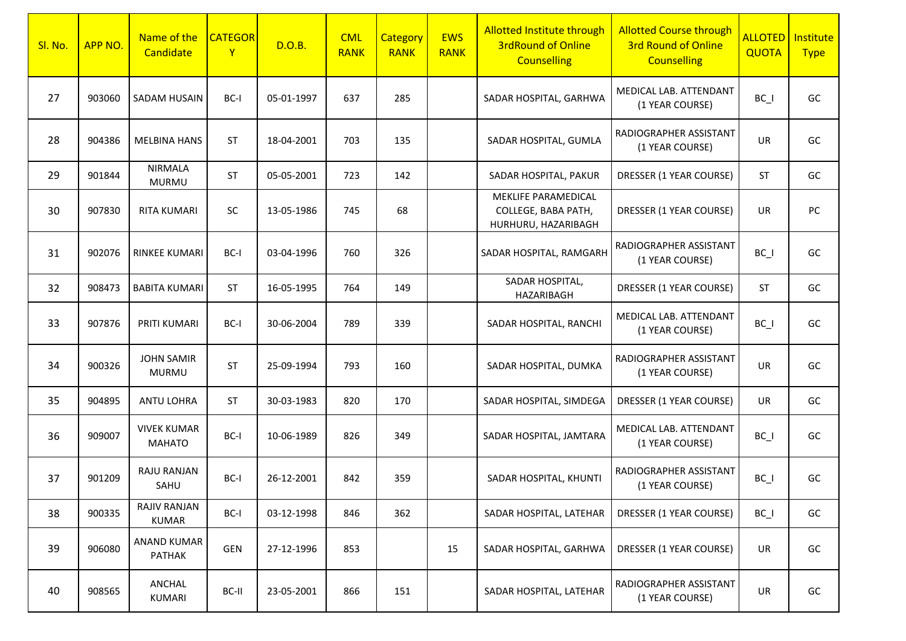| Sl. No. | APP NO. | Name of the<br>Candidate            | <b>CATEGOR</b><br>$\mathsf{Y}$ | D.O.B.     | <b>CML</b><br><b>RANK</b> | <b>Category</b><br><b>RANK</b> | <b>EWS</b><br><b>RANK</b> | Allotted Institute through<br><b>3rdRound of Online</b><br><b>Counselling</b> | <b>Allotted Course through</b><br><b>3rd Round of Online</b><br><b>Counselling</b> | <b>ALLOTED</b><br><b>QUOTA</b> | Institute<br><b>Type</b> |
|---------|---------|-------------------------------------|--------------------------------|------------|---------------------------|--------------------------------|---------------------------|-------------------------------------------------------------------------------|------------------------------------------------------------------------------------|--------------------------------|--------------------------|
| 27      | 903060  | SADAM HUSAIN                        | BC-I                           | 05-01-1997 | 637                       | 285                            |                           | SADAR HOSPITAL, GARHWA                                                        | MEDICAL LAB. ATTENDANT<br>(1 YEAR COURSE)                                          | $BC_$                          | GC                       |
| 28      | 904386  | <b>MELBINA HANS</b>                 | <b>ST</b>                      | 18-04-2001 | 703                       | 135                            |                           | SADAR HOSPITAL, GUMLA                                                         | RADIOGRAPHER ASSISTANT<br>(1 YEAR COURSE)                                          | <b>UR</b>                      | GC                       |
| 29      | 901844  | <b>NIRMALA</b><br><b>MURMU</b>      | <b>ST</b>                      | 05-05-2001 | 723                       | 142                            |                           | SADAR HOSPITAL, PAKUR                                                         | DRESSER (1 YEAR COURSE)                                                            | <b>ST</b>                      | GC                       |
| 30      | 907830  | <b>RITA KUMARI</b>                  | <b>SC</b>                      | 13-05-1986 | 745                       | 68                             |                           | MEKLIFE PARAMEDICAL<br>COLLEGE, BABA PATH,<br>HURHURU, HAZARIBAGH             | DRESSER (1 YEAR COURSE)                                                            | UR                             | PC                       |
| 31      | 902076  | <b>RINKEE KUMARI</b>                | BC-I                           | 03-04-1996 | 760                       | 326                            |                           | SADAR HOSPITAL, RAMGARH                                                       | RADIOGRAPHER ASSISTANT<br>(1 YEAR COURSE)                                          | $BC_$                          | GC                       |
| 32      | 908473  | <b>BABITA KUMARI</b>                | <b>ST</b>                      | 16-05-1995 | 764                       | 149                            |                           | SADAR HOSPITAL,<br>HAZARIBAGH                                                 | DRESSER (1 YEAR COURSE)                                                            | ST                             | GC                       |
| 33      | 907876  | PRITI KUMARI                        | BC-I                           | 30-06-2004 | 789                       | 339                            |                           | SADAR HOSPITAL, RANCHI                                                        | MEDICAL LAB. ATTENDANT<br>(1 YEAR COURSE)                                          | $BC_$                          | GC                       |
| 34      | 900326  | <b>JOHN SAMIR</b><br><b>MURMU</b>   | <b>ST</b>                      | 25-09-1994 | 793                       | 160                            |                           | SADAR HOSPITAL, DUMKA                                                         | RADIOGRAPHER ASSISTANT<br>(1 YEAR COURSE)                                          | UR                             | GC                       |
| 35      | 904895  | <b>ANTU LOHRA</b>                   | <b>ST</b>                      | 30-03-1983 | 820                       | 170                            |                           | SADAR HOSPITAL, SIMDEGA                                                       | DRESSER (1 YEAR COURSE)                                                            | <b>UR</b>                      | GC                       |
| 36      | 909007  | <b>VIVEK KUMAR</b><br><b>MAHATO</b> | BC-I                           | 10-06-1989 | 826                       | 349                            |                           | SADAR HOSPITAL, JAMTARA                                                       | MEDICAL LAB. ATTENDANT<br>(1 YEAR COURSE)                                          | $BC_$                          | GC                       |
| 37      | 901209  | RAJU RANJAN<br>SAHU                 | BC-I                           | 26-12-2001 | 842                       | 359                            |                           | SADAR HOSPITAL, KHUNTI                                                        | RADIOGRAPHER ASSISTANT<br>(1 YEAR COURSE)                                          | $BC_$                          | GC                       |
| 38      | 900335  | <b>RAJIV RANJAN</b><br><b>KUMAR</b> | BC-I                           | 03-12-1998 | 846                       | 362                            |                           | SADAR HOSPITAL, LATEHAR                                                       | DRESSER (1 YEAR COURSE)                                                            | $BC_$                          | GC                       |
| 39      | 906080  | ANAND KUMAR<br>PATHAK               | <b>GEN</b>                     | 27-12-1996 | 853                       |                                | 15                        | SADAR HOSPITAL, GARHWA                                                        | DRESSER (1 YEAR COURSE)                                                            | UR                             | GC                       |
| 40      | 908565  | ANCHAL<br>KUMARI                    | BC-II                          | 23-05-2001 | 866                       | 151                            |                           | SADAR HOSPITAL, LATEHAR                                                       | RADIOGRAPHER ASSISTANT<br>(1 YEAR COURSE)                                          | UR                             | GC                       |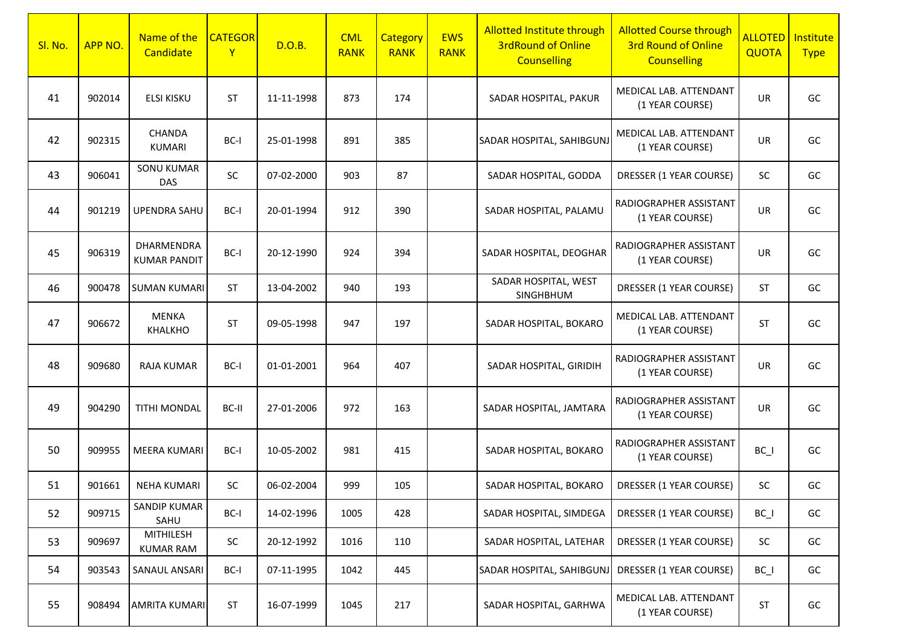| Sl. No. | APP NO. | Name of the<br>Candidate             | <b>CATEGOR</b><br>$\mathsf{Y}$ | D.O.B.     | <b>CML</b><br><b>RANK</b> | <b>Category</b><br><b>RANK</b> | <b>EWS</b><br><b>RANK</b> | <b>Allotted Institute through</b><br><b>3rdRound of Online</b><br><b>Counselling</b> | <b>Allotted Course through</b><br><b>3rd Round of Online</b><br><b>Counselling</b> | <b>ALLOTED</b><br>QUOTA | Institute<br><b>Type</b> |
|---------|---------|--------------------------------------|--------------------------------|------------|---------------------------|--------------------------------|---------------------------|--------------------------------------------------------------------------------------|------------------------------------------------------------------------------------|-------------------------|--------------------------|
| 41      | 902014  | <b>ELSI KISKU</b>                    | <b>ST</b>                      | 11-11-1998 | 873                       | 174                            |                           | SADAR HOSPITAL, PAKUR                                                                | MEDICAL LAB. ATTENDANT<br>(1 YEAR COURSE)                                          | <b>UR</b>               | GC                       |
| 42      | 902315  | <b>CHANDA</b><br><b>KUMARI</b>       | BC-I                           | 25-01-1998 | 891                       | 385                            |                           | SADAR HOSPITAL, SAHIBGUNJ                                                            | MEDICAL LAB. ATTENDANT<br>(1 YEAR COURSE)                                          | <b>UR</b>               | GC                       |
| 43      | 906041  | <b>SONU KUMAR</b><br><b>DAS</b>      | SC                             | 07-02-2000 | 903                       | 87                             |                           | SADAR HOSPITAL, GODDA                                                                | DRESSER (1 YEAR COURSE)                                                            | SC                      | GC                       |
| 44      | 901219  | <b>UPENDRA SAHU</b>                  | BC-I                           | 20-01-1994 | 912                       | 390                            |                           | SADAR HOSPITAL, PALAMU                                                               | RADIOGRAPHER ASSISTANT<br>(1 YEAR COURSE)                                          | UR                      | GC                       |
| 45      | 906319  | DHARMENDRA<br><b>KUMAR PANDIT</b>    | BC-I                           | 20-12-1990 | 924                       | 394                            |                           | SADAR HOSPITAL, DEOGHAR                                                              | RADIOGRAPHER ASSISTANT<br>(1 YEAR COURSE)                                          | <b>UR</b>               | GC                       |
| 46      | 900478  | <b>SUMAN KUMARI</b>                  | <b>ST</b>                      | 13-04-2002 | 940                       | 193                            |                           | SADAR HOSPITAL, WEST<br>SINGHBHUM                                                    | DRESSER (1 YEAR COURSE)                                                            | <b>ST</b>               | GC                       |
| 47      | 906672  | <b>MENKA</b><br><b>KHALKHO</b>       | <b>ST</b>                      | 09-05-1998 | 947                       | 197                            |                           | SADAR HOSPITAL, BOKARO                                                               | MEDICAL LAB. ATTENDANT<br>(1 YEAR COURSE)                                          | <b>ST</b>               | GC                       |
| 48      | 909680  | <b>RAJA KUMAR</b>                    | BC-I                           | 01-01-2001 | 964                       | 407                            |                           | SADAR HOSPITAL, GIRIDIH                                                              | RADIOGRAPHER ASSISTANT<br>(1 YEAR COURSE)                                          | <b>UR</b>               | GC                       |
| 49      | 904290  | <b>TITHI MONDAL</b>                  | BC-II                          | 27-01-2006 | 972                       | 163                            |                           | SADAR HOSPITAL, JAMTARA                                                              | RADIOGRAPHER ASSISTANT<br>(1 YEAR COURSE)                                          | <b>UR</b>               | GC                       |
| 50      | 909955  | <b>MEERA KUMARI</b>                  | BC-I                           | 10-05-2002 | 981                       | 415                            |                           | SADAR HOSPITAL, BOKARO                                                               | RADIOGRAPHER ASSISTANT<br>(1 YEAR COURSE)                                          | $BC_$                   | GC                       |
| 51      | 901661  | <b>NEHA KUMARI</b>                   | SC                             | 06-02-2004 | 999                       | 105                            |                           | SADAR HOSPITAL, BOKARO                                                               | DRESSER (1 YEAR COURSE)                                                            | SC                      | GC                       |
| 52      | 909715  | SANDIP KUMAR<br>SAHU                 | BC-I                           | 14-02-1996 | 1005                      | 428                            |                           | SADAR HOSPITAL, SIMDEGA                                                              | DRESSER (1 YEAR COURSE)                                                            | $BC_$                   | GC                       |
| 53      | 909697  | <b>MITHILESH</b><br><b>KUMAR RAM</b> | SC                             | 20-12-1992 | 1016                      | 110                            |                           | SADAR HOSPITAL, LATEHAR                                                              | DRESSER (1 YEAR COURSE)                                                            | <b>SC</b>               | GC                       |
| 54      | 903543  | SANAUL ANSARI                        | BC-I                           | 07-11-1995 | 1042                      | 445                            |                           | SADAR HOSPITAL, SAHIBGUNJ                                                            | DRESSER (1 YEAR COURSE)                                                            | $BC_$                   | GC                       |
| 55      | 908494  | <b>AMRITA KUMARI</b>                 | ST                             | 16-07-1999 | 1045                      | 217                            |                           | SADAR HOSPITAL, GARHWA                                                               | MEDICAL LAB. ATTENDANT<br>(1 YEAR COURSE)                                          | <b>ST</b>               | GC                       |